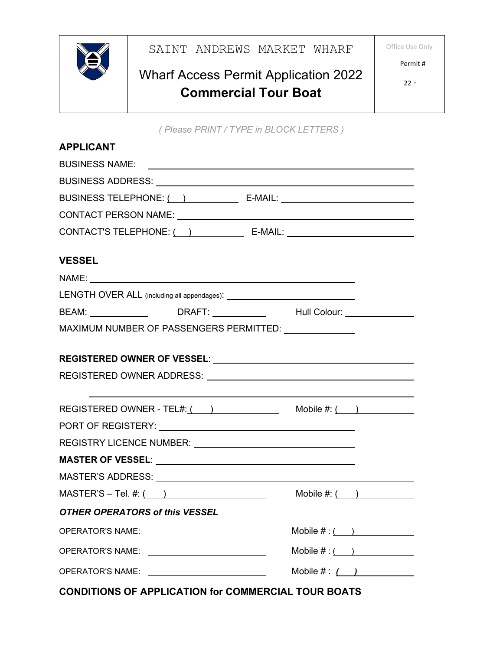

## Office Use Only



## Wharf Access Permit Application 2022 **Commercial Tour Boat**

Permit #

*( Please PRINT / TYPE in BLOCK LETTERS )*

| <b>APPLICANT</b>                                                                                               |                                  |  |  |
|----------------------------------------------------------------------------------------------------------------|----------------------------------|--|--|
|                                                                                                                |                                  |  |  |
|                                                                                                                |                                  |  |  |
|                                                                                                                |                                  |  |  |
| <b>VESSEL</b>                                                                                                  |                                  |  |  |
| NAME: NAME:                                                                                                    |                                  |  |  |
|                                                                                                                |                                  |  |  |
| BEAM: ________________  DRAFT: _____________  Hull Colour: _______________                                     |                                  |  |  |
| MAXIMUM NUMBER OF PASSENGERS PERMITTED: UNIVERSITY OF PASSENGERS PERMITTED:                                    |                                  |  |  |
|                                                                                                                |                                  |  |  |
| REGISTERED OWNER ADDRESS: UNIVERSITY AND ACCORDING THE REGISTERED OWNER ADDRESS:                               |                                  |  |  |
| REGISTERED OWNER - TEL#: $($ ) Mobile #: $($ )                                                                 |                                  |  |  |
|                                                                                                                |                                  |  |  |
| REGISTRY LICENCE NUMBER: National Action of ACCONDUCT ACCORDING ACCORDING ACCORDING ACCORDING ACCORDING ACCORD |                                  |  |  |
|                                                                                                                |                                  |  |  |
|                                                                                                                |                                  |  |  |
| $MASTER'S - Tel.  #: ($                                                                                        | Mobile $\#:\underline{(\qquad)}$ |  |  |
| <b>OTHER OPERATORS of this VESSEL</b>                                                                          |                                  |  |  |
| <b>OPERATOR'S NAME:</b><br><u> 1989 - Andrea Station Barbara, amerikan per</u>                                 | Mobile $\#:($ )                  |  |  |
| <b>OPERATOR'S NAME:</b>                                                                                        | Mobile $\#:($ )                  |  |  |
| <b>OPERATOR'S NAME:</b>                                                                                        | Mobile $\# : \f$                 |  |  |

**CONDITIONS OF APPLICATION for COMMERCIAL TOUR BOATS**